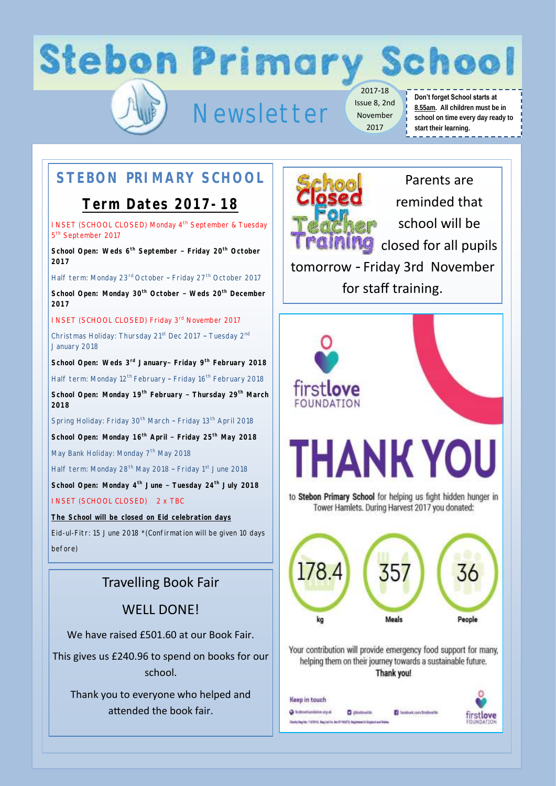# **Stebon Primary School**

## Newsletter

2017-18 Issue 8, 2nd November 2017

#### **Don't forget School starts at 8.55am. All children must be in school on time every day ready to start their learning.**

### **STEBON PRIMARY SCHOOL**

#### **Term Dates 2017-18**

INSET (SCHOOL CLOSED) Monday 4<sup>th</sup> September & Tuesday 5<sup>th</sup> September 2017

**School Open: Weds 6th September – Friday 20th October 2017**

Half term: Monday 23<sup>rd</sup> October - Friday 27<sup>th</sup> October 2017

**School Open: Monday 30th October – Weds 20th December 2017** 

INSET (SCHOOL CLOSED) Friday 3<sup>rd</sup> November 2017

Christmas Holiday: Thursday 21<sup>st</sup> Dec 2017 - Tuesday 2<sup>nd</sup> January 2018

**School Open: Weds 3rd January– Friday 9th February 2018**

Half term: Monday 12<sup>th</sup> February - Friday 16<sup>th</sup> February 2018

**School Open: Monday 19th February – Thursday 29th March 2018**

Spring Holiday: Friday 30<sup>th</sup> March - Friday 13<sup>th</sup> April 2018

**School Open: Monday 16th April – Friday 25th May 2018**

May Bank Holiday: Monday 7<sup>th</sup> May 2018

Half term: Monday 28<sup>th</sup> May 2018 - Friday 1<sup>st</sup> June 2018

**School Open: Monday 4th June – Tuesday 24th July 2018** INSET (SCHOOL CLOSED) 2 x TBC

**The School will be closed on Eid celebration days**

Eid-ul-Fitr: 15 June 2018 \*(Confirmation will be given 10 days before)

#### Travelling Book Fair

WELL DONE!

We have raised £501.60 at our Book Fair.

This gives us £240.96 to spend on books for our school.

Thank you to everyone who helped and attended the book fair.